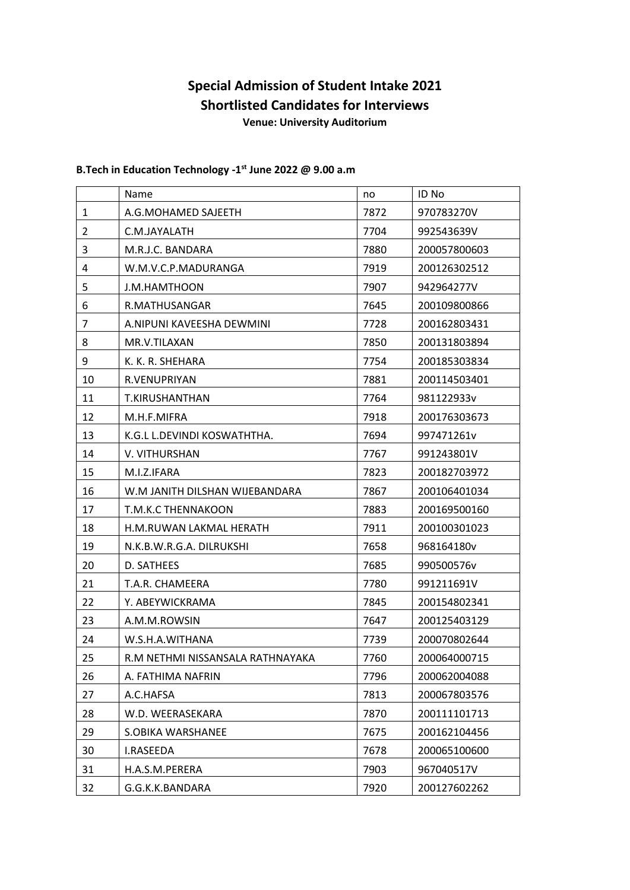## **Special Admission of Student Intake 2021 Shortlisted Candidates for Interviews Venue: University Auditorium**

## **B.Tech in Education Technology -1 st June 2022 @ 9.00 a.m**

|    | Name                             | no   | ID No        |
|----|----------------------------------|------|--------------|
| 1  | A.G.MOHAMED SAJEETH              | 7872 | 970783270V   |
| 2  | C.M.JAYALATH                     | 7704 | 992543639V   |
| 3  | M.R.J.C. BANDARA                 | 7880 | 200057800603 |
| 4  | W.M.V.C.P.MADURANGA              | 7919 | 200126302512 |
| 5  | J.M.HAMTHOON                     | 7907 | 942964277V   |
| 6  | R.MATHUSANGAR                    | 7645 | 200109800866 |
| 7  | A.NIPUNI KAVEESHA DEWMINI        | 7728 | 200162803431 |
| 8  | MR.V.TILAXAN                     | 7850 | 200131803894 |
| 9  | K. K. R. SHEHARA                 | 7754 | 200185303834 |
| 10 | R.VENUPRIYAN                     | 7881 | 200114503401 |
| 11 | T.KIRUSHANTHAN                   | 7764 | 981122933v   |
| 12 | M.H.F.MIFRA                      | 7918 | 200176303673 |
| 13 | K.G.L L.DEVINDI KOSWATHTHA.      | 7694 | 997471261v   |
| 14 | V. VITHURSHAN                    | 7767 | 991243801V   |
| 15 | M.I.Z.IFARA                      | 7823 | 200182703972 |
| 16 | W.M JANITH DILSHAN WIJEBANDARA   | 7867 | 200106401034 |
| 17 | T.M.K.C THENNAKOON               | 7883 | 200169500160 |
| 18 | H.M.RUWAN LAKMAL HERATH          | 7911 | 200100301023 |
| 19 | N.K.B.W.R.G.A. DILRUKSHI         | 7658 | 968164180v   |
| 20 | D. SATHEES                       | 7685 | 990500576v   |
| 21 | T.A.R. CHAMEERA                  | 7780 | 991211691V   |
| 22 | Y. ABEYWICKRAMA                  | 7845 | 200154802341 |
| 23 | A.M.M.ROWSIN                     | 7647 | 200125403129 |
| 24 | W.S.H.A.WITHANA                  | 7739 | 200070802644 |
| 25 | R.M NETHMI NISSANSALA RATHNAYAKA | 7760 | 200064000715 |
| 26 | A. FATHIMA NAFRIN                | 7796 | 200062004088 |
| 27 | A.C.HAFSA                        | 7813 | 200067803576 |
| 28 | W.D. WEERASEKARA                 | 7870 | 200111101713 |
| 29 | S.OBIKA WARSHANEE                | 7675 | 200162104456 |
| 30 | I.RASEEDA                        | 7678 | 200065100600 |
| 31 | H.A.S.M.PERERA                   | 7903 | 967040517V   |
| 32 | G.G.K.K.BANDARA                  | 7920 | 200127602262 |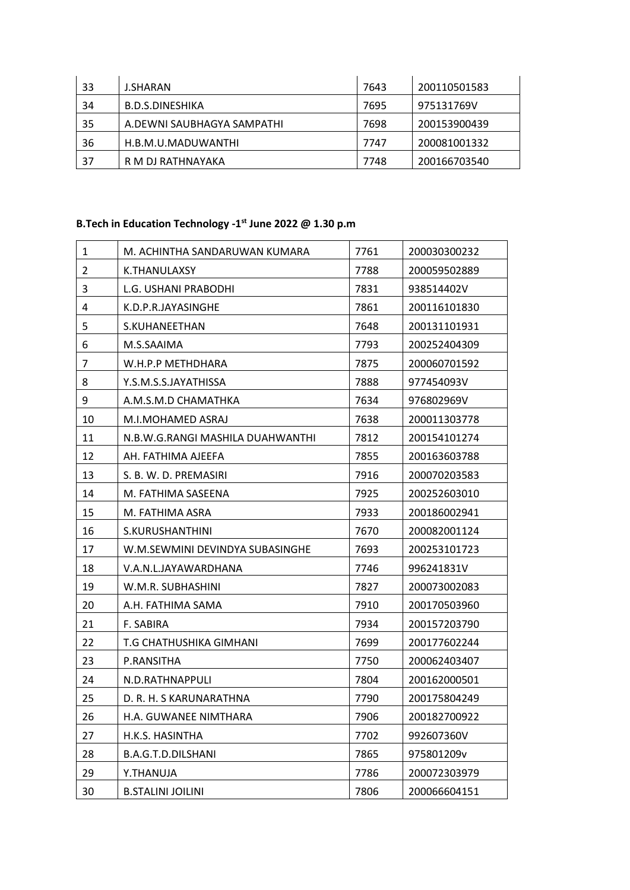| 33 | <b>J.SHARAN</b>            | 7643 | 200110501583 |
|----|----------------------------|------|--------------|
| 34 | B.D.S.DINESHIKA            | 7695 | 975131769V   |
| 35 | A.DEWNI SAUBHAGYA SAMPATHI | 7698 | 200153900439 |
| 36 | H.B.M.U.MADUWANTHI         | 7747 | 200081001332 |
| 37 | R M DJ RATHNAYAKA          | 7748 | 200166703540 |

## **B.Tech in Education Technology -1 st June 2022 @ 1.30 p.m**

| 1              | M. ACHINTHA SANDARUWAN KUMARA    | 7761 | 200030300232 |
|----------------|----------------------------------|------|--------------|
| $\overline{2}$ | K.THANULAXSY                     | 7788 | 200059502889 |
| 3              | L.G. USHANI PRABODHI             | 7831 | 938514402V   |
| 4              | K.D.P.R.JAYASINGHE               | 7861 | 200116101830 |
| 5              | S.KUHANEETHAN                    | 7648 | 200131101931 |
| 6              | M.S.SAAIMA                       | 7793 | 200252404309 |
| 7              | W.H.P.P METHDHARA                | 7875 | 200060701592 |
| 8              | Y.S.M.S.S.JAYATHISSA             | 7888 | 977454093V   |
| 9              | A.M.S.M.D CHAMATHKA              | 7634 | 976802969V   |
| 10             | M.I.MOHAMED ASRAJ                | 7638 | 200011303778 |
| 11             | N.B.W.G.RANGI MASHILA DUAHWANTHI | 7812 | 200154101274 |
| 12             | AH. FATHIMA AJEEFA               | 7855 | 200163603788 |
| 13             | S. B. W. D. PREMASIRI            | 7916 | 200070203583 |
| 14             | M. FATHIMA SASEENA               | 7925 | 200252603010 |
| 15             | M. FATHIMA ASRA                  | 7933 | 200186002941 |
| 16             | S.KURUSHANTHINI                  | 7670 | 200082001124 |
| 17             | W.M.SEWMINI DEVINDYA SUBASINGHE  | 7693 | 200253101723 |
| 18             | V.A.N.L.JAYAWARDHANA             | 7746 | 996241831V   |
| 19             | W.M.R. SUBHASHINI                | 7827 | 200073002083 |
| 20             | A.H. FATHIMA SAMA                | 7910 | 200170503960 |
| 21             | F. SABIRA                        | 7934 | 200157203790 |
| 22             | T.G CHATHUSHIKA GIMHANI          | 7699 | 200177602244 |
| 23             | P.RANSITHA                       | 7750 | 200062403407 |
| 24             | N.D.RATHNAPPULI                  | 7804 | 200162000501 |
| 25             | D. R. H. S KARUNARATHNA          | 7790 | 200175804249 |
| 26             | H.A. GUWANEE NIMTHARA            | 7906 | 200182700922 |
| 27             | H.K.S. HASINTHA                  | 7702 | 992607360V   |
| 28             | B.A.G.T.D.DILSHANI               | 7865 | 975801209v   |
| 29             | <b>Y.THANUJA</b>                 | 7786 | 200072303979 |
| 30             | <b>B.STALINI JOILINI</b>         | 7806 | 200066604151 |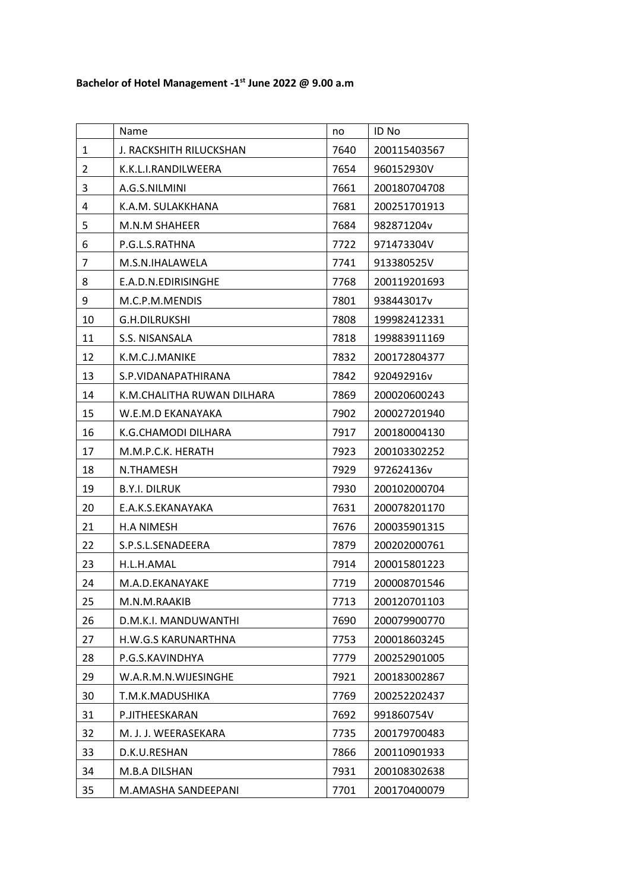|                | Name                       | no   | ID No        |
|----------------|----------------------------|------|--------------|
| 1              | J. RACKSHITH RILUCKSHAN    | 7640 | 200115403567 |
| $\overline{2}$ | K.K.L.I.RANDILWEERA        | 7654 | 960152930V   |
| 3              | A.G.S.NILMINI              | 7661 | 200180704708 |
| 4              | K.A.M. SULAKKHANA          | 7681 | 200251701913 |
| 5              | M.N.M SHAHEER              | 7684 | 982871204v   |
| 6              | P.G.L.S.RATHNA             | 7722 | 971473304V   |
| 7              | M.S.N.IHALAWELA            | 7741 | 913380525V   |
| 8              | E.A.D.N.EDIRISINGHE        | 7768 | 200119201693 |
| 9              | M.C.P.M.MENDIS             | 7801 | 938443017v   |
| 10             | G.H.DILRUKSHI              | 7808 | 199982412331 |
| 11             | S.S. NISANSALA             | 7818 | 199883911169 |
| 12             | K.M.C.J.MANIKE             | 7832 | 200172804377 |
| 13             | S.P.VIDANAPATHIRANA        | 7842 | 920492916v   |
| 14             | K.M.CHALITHA RUWAN DILHARA | 7869 | 200020600243 |
| 15             | W.E.M.D EKANAYAKA          | 7902 | 200027201940 |
| 16             | K.G.CHAMODI DILHARA        | 7917 | 200180004130 |
| 17             | M.M.P.C.K. HERATH          | 7923 | 200103302252 |
| 18             | N.THAMESH                  | 7929 | 972624136v   |
| 19             | <b>B.Y.I. DILRUK</b>       | 7930 | 200102000704 |
| 20             | E.A.K.S.EKANAYAKA          | 7631 | 200078201170 |
| 21             | <b>H.A NIMESH</b>          | 7676 | 200035901315 |
| 22             | S.P.S.L.SENADEERA          | 7879 | 200202000761 |
| 23             | H.L.H.AMAL                 | 7914 | 200015801223 |
| 24             | M.A.D.EKANAYAKE            | 7719 | 200008701546 |
| 25             | M.N.M.RAAKIB               | 7713 | 200120701103 |
| 26             | D.M.K.I. MANDUWANTHI       | 7690 | 200079900770 |
| 27             | H.W.G.S KARUNARTHNA        | 7753 | 200018603245 |
| 28             | P.G.S.KAVINDHYA            | 7779 | 200252901005 |
| 29             | W.A.R.M.N.WIJESINGHE       | 7921 | 200183002867 |
| 30             | T.M.K.MADUSHIKA            | 7769 | 200252202437 |
| 31             | P.JITHEESKARAN             | 7692 | 991860754V   |
| 32             | M. J. J. WEERASEKARA       | 7735 | 200179700483 |
| 33             | D.K.U.RESHAN               | 7866 | 200110901933 |
| 34             | M.B.A DILSHAN              | 7931 | 200108302638 |
| 35             | M.AMASHA SANDEEPANI        | 7701 | 200170400079 |